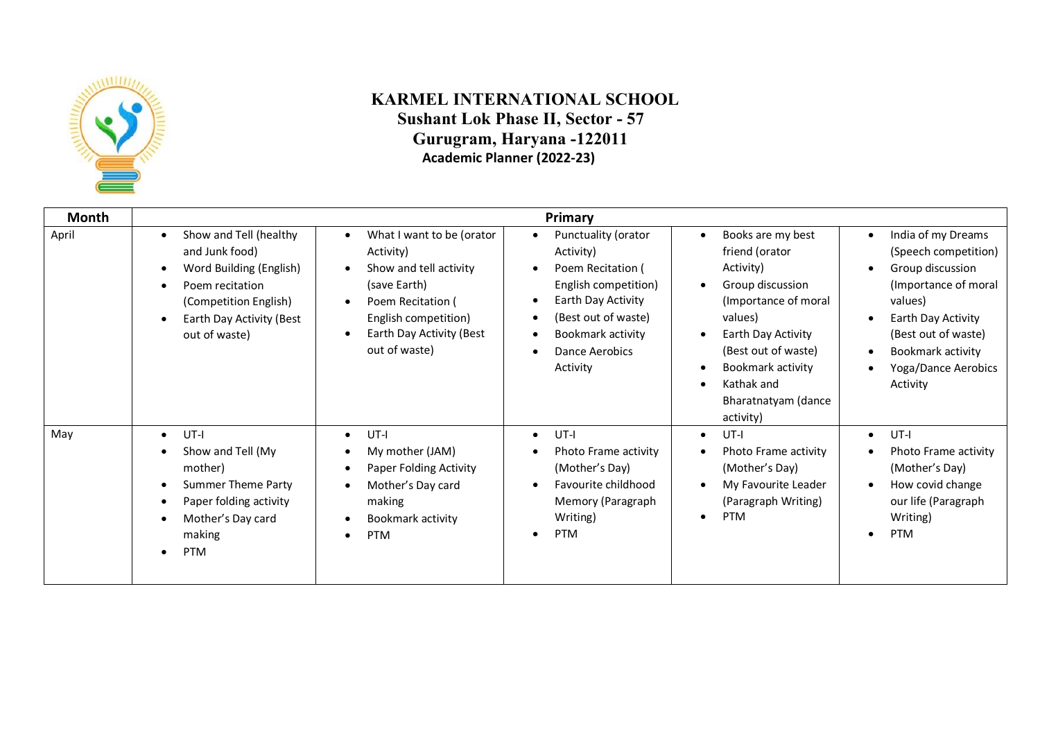

## **KARMEL INTERNATIONAL SCHOOL Sushant Lok Phase II, Sector - 57 Gurugram, Haryana -122011 Academic Planner (2022-23)**

| Month |                                                                                                                                                                           |                                                                                                                                                                                                                   | Primary                                                                                                                                                                       |                                                                                                                                                                                                                              |                                                                                                                                                                                                                     |
|-------|---------------------------------------------------------------------------------------------------------------------------------------------------------------------------|-------------------------------------------------------------------------------------------------------------------------------------------------------------------------------------------------------------------|-------------------------------------------------------------------------------------------------------------------------------------------------------------------------------|------------------------------------------------------------------------------------------------------------------------------------------------------------------------------------------------------------------------------|---------------------------------------------------------------------------------------------------------------------------------------------------------------------------------------------------------------------|
| April | Show and Tell (healthy<br>$\bullet$<br>and Junk food)<br>Word Building (English)<br>Poem recitation<br>(Competition English)<br>Earth Day Activity (Best<br>out of waste) | What I want to be (orator<br>$\bullet$<br>Activity)<br>Show and tell activity<br>$\bullet$<br>(save Earth)<br>Poem Recitation (<br>$\bullet$<br>English competition)<br>Earth Day Activity (Best<br>out of waste) | Punctuality (orator<br>Activity)<br>Poem Recitation (<br>English competition)<br>Earth Day Activity<br>(Best out of waste)<br>Bookmark activity<br>Dance Aerobics<br>Activity | Books are my best<br>friend (orator<br>Activity)<br>Group discussion<br>(Importance of moral)<br>values)<br>Earth Day Activity<br>(Best out of waste)<br>Bookmark activity<br>Kathak and<br>Bharatnatyam (dance<br>activity) | India of my Dreams<br>$\bullet$<br>(Speech competition)<br>Group discussion<br>(Importance of moral<br>values)<br>Earth Day Activity<br>(Best out of waste)<br>Bookmark activity<br>Yoga/Dance Aerobics<br>Activity |
| May   | UT-I<br>$\bullet$<br>Show and Tell (My<br>mother)<br><b>Summer Theme Party</b><br>Paper folding activity<br>$\bullet$<br>Mother's Day card<br>making<br><b>PTM</b>        | UT-I<br>$\bullet$<br>My mother (JAM)<br>$\bullet$<br>Paper Folding Activity<br>$\bullet$<br>Mother's Day card<br>making<br>Bookmark activity<br><b>PTM</b><br>$\bullet$                                           | UT-I<br>$\bullet$<br>Photo Frame activity<br>(Mother's Day)<br>Favourite childhood<br>Memory (Paragraph<br>Writing)<br><b>PTM</b>                                             | $UT-I$<br>$\bullet$<br>Photo Frame activity<br>(Mother's Day)<br>My Favourite Leader<br>(Paragraph Writing)<br><b>PTM</b><br>$\bullet$                                                                                       | $UT-I$<br>$\bullet$<br>Photo Frame activity<br>(Mother's Day)<br>How covid change<br>our life (Paragraph<br>Writing)<br><b>PTM</b><br>$\bullet$                                                                     |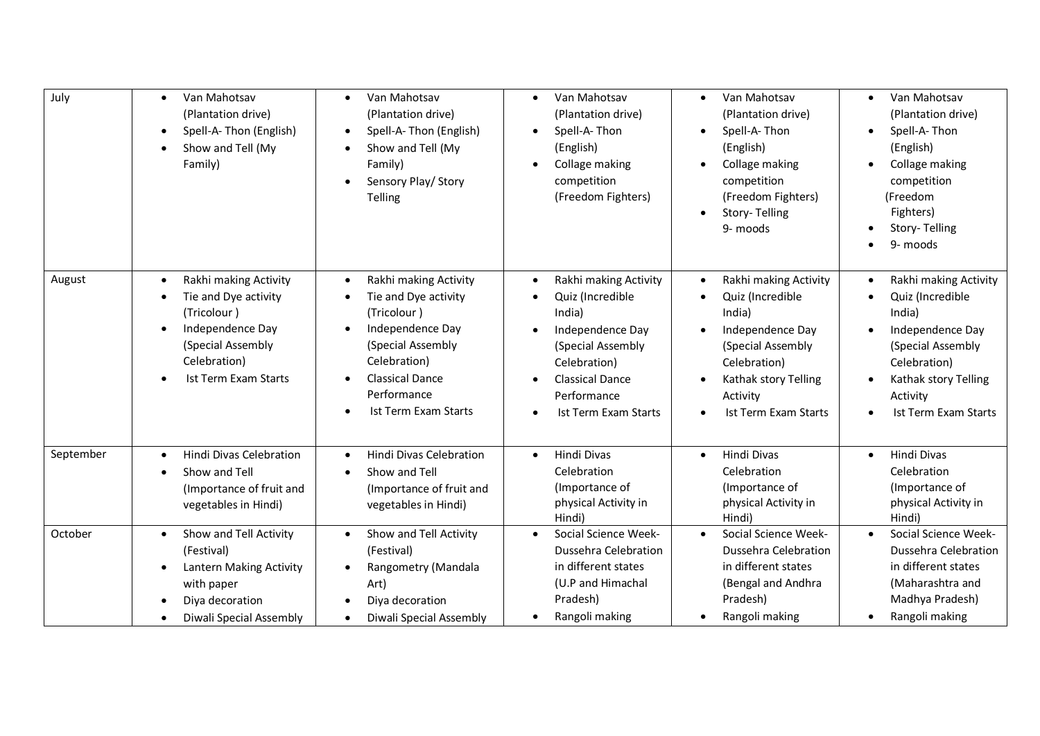| July      | Van Mahotsav<br>$\bullet$<br>(Plantation drive)<br>Spell-A-Thon (English)<br>$\bullet$<br>Show and Tell (My<br>$\bullet$<br>Family)                                                 | Van Mahotsav<br>$\bullet$<br>(Plantation drive)<br>Spell-A-Thon (English)<br>$\bullet$<br>Show and Tell (My<br>$\bullet$<br>Family)<br>Sensory Play/ Story<br><b>Telling</b>                                            | Van Mahotsav<br>$\bullet$<br>(Plantation drive)<br>Spell-A-Thon<br>(English)<br>Collage making<br>$\bullet$<br>competition<br>(Freedom Fighters)                                           | Van Mahotsav<br>$\bullet$<br>(Plantation drive)<br>Spell-A-Thon<br>(English)<br>Collage making<br>$\bullet$<br>competition<br>(Freedom Fighters)<br>Story-Telling<br>$\bullet$<br>9- moods | Van Mahotsav<br>$\bullet$<br>(Plantation drive)<br>Spell-A-Thon<br>$\bullet$<br>(English)<br>Collage making<br>$\bullet$<br>competition<br>(Freedom<br>Fighters)<br>Story-Telling<br>9- moods |
|-----------|-------------------------------------------------------------------------------------------------------------------------------------------------------------------------------------|-------------------------------------------------------------------------------------------------------------------------------------------------------------------------------------------------------------------------|--------------------------------------------------------------------------------------------------------------------------------------------------------------------------------------------|--------------------------------------------------------------------------------------------------------------------------------------------------------------------------------------------|-----------------------------------------------------------------------------------------------------------------------------------------------------------------------------------------------|
| August    | Rakhi making Activity<br>$\bullet$<br>Tie and Dye activity<br>٠<br>(Tricolour)<br>Independence Day<br>$\bullet$<br>(Special Assembly<br>Celebration)<br><b>Ist Term Exam Starts</b> | Rakhi making Activity<br>$\bullet$<br>Tie and Dye activity<br>(Tricolour)<br>Independence Day<br>$\bullet$<br>(Special Assembly<br>Celebration)<br><b>Classical Dance</b><br>Performance<br><b>Ist Term Exam Starts</b> | Rakhi making Activity<br>$\bullet$<br>Quiz (Incredible<br>India)<br>Independence Day<br>(Special Assembly<br>Celebration)<br>Classical Dance<br>Performance<br><b>Ist Term Exam Starts</b> | Rakhi making Activity<br>$\bullet$<br>Quiz (Incredible<br>India)<br>Independence Day<br>(Special Assembly<br>Celebration)<br>Kathak story Telling<br>Activity<br>Ist Term Exam Starts      | Rakhi making Activity<br>$\bullet$<br>Quiz (Incredible<br>India)<br>Independence Day<br>(Special Assembly<br>Celebration)<br>Kathak story Telling<br>Activity<br>Ist Term Exam Starts         |
| September | <b>Hindi Divas Celebration</b><br>$\bullet$<br>Show and Tell<br>(Importance of fruit and<br>vegetables in Hindi)                                                                    | <b>Hindi Divas Celebration</b><br>$\bullet$<br>Show and Tell<br>(Importance of fruit and<br>vegetables in Hindi)                                                                                                        | Hindi Divas<br>$\bullet$<br>Celebration<br>(Importance of<br>physical Activity in<br>Hindi)                                                                                                | Hindi Divas<br>$\bullet$<br>Celebration<br>(Importance of<br>physical Activity in<br>Hindi)                                                                                                | Hindi Divas<br>$\bullet$<br>Celebration<br>(Importance of<br>physical Activity in<br>Hindi)                                                                                                   |
| October   | Show and Tell Activity<br>$\bullet$<br>(Festival)<br>Lantern Making Activity<br>$\bullet$<br>with paper<br>Diya decoration<br>Diwali Special Assembly                               | Show and Tell Activity<br>$\bullet$<br>(Festival)<br>Rangometry (Mandala<br>$\bullet$<br>Art)<br>Diya decoration<br>Diwali Special Assembly<br>$\bullet$                                                                | Social Science Week-<br>$\bullet$<br>Dussehra Celebration<br>in different states<br>(U.P and Himachal<br>Pradesh)<br>Rangoli making                                                        | Social Science Week-<br>$\bullet$<br>Dussehra Celebration<br>in different states<br>(Bengal and Andhra<br>Pradesh)<br>Rangoli making                                                       | Social Science Week-<br>$\bullet$<br>Dussehra Celebration<br>in different states<br>(Maharashtra and<br>Madhya Pradesh)<br>Rangoli making                                                     |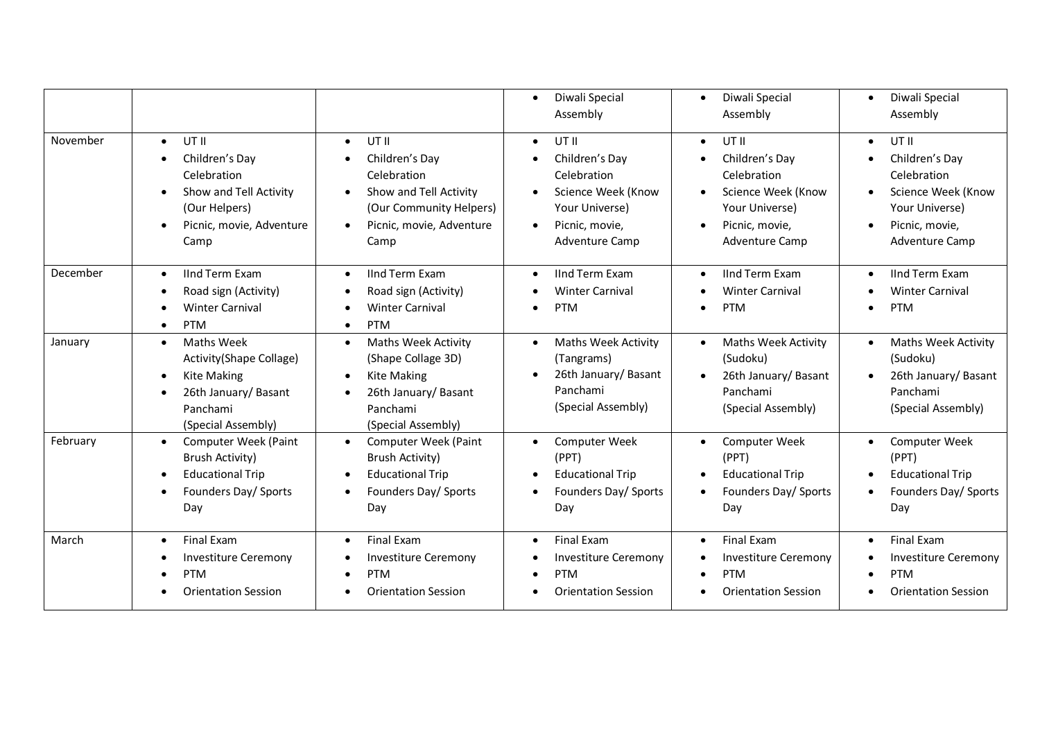|          |                                                                                                                                                 |                                                                                                                                                                         | Diwali Special<br>$\bullet$<br>Assembly                                                                                                           | Diwali Special<br>$\bullet$<br>Assembly                                                                                         | Diwali Special<br>$\bullet$<br>Assembly                                                                                                      |
|----------|-------------------------------------------------------------------------------------------------------------------------------------------------|-------------------------------------------------------------------------------------------------------------------------------------------------------------------------|---------------------------------------------------------------------------------------------------------------------------------------------------|---------------------------------------------------------------------------------------------------------------------------------|----------------------------------------------------------------------------------------------------------------------------------------------|
| November | UT II<br>$\bullet$<br>Children's Day<br>Celebration<br>Show and Tell Activity<br>(Our Helpers)<br>Picnic, movie, Adventure<br>$\bullet$<br>Camp | UT II<br>$\bullet$<br>Children's Day<br>$\bullet$<br>Celebration<br>Show and Tell Activity<br>(Our Community Helpers)<br>Picnic, movie, Adventure<br>$\bullet$<br>Camp  | UT II<br>$\bullet$<br>Children's Day<br>٠<br>Celebration<br>Science Week (Know<br>Your Universe)<br>Picnic, movie,<br>$\bullet$<br>Adventure Camp | UT II<br>$\bullet$<br>Children's Day<br>Celebration<br>Science Week (Know<br>Your Universe)<br>Picnic, movie,<br>Adventure Camp | UT II<br>$\bullet$<br>Children's Day<br>Celebration<br>Science Week (Know<br>Your Universe)<br>Picnic, movie,<br>$\bullet$<br>Adventure Camp |
| December | <b>IInd Term Exam</b><br>$\bullet$<br>Road sign (Activity)<br><b>Winter Carnival</b><br><b>PTM</b><br>$\bullet$                                 | <b>IInd Term Exam</b><br>$\bullet$<br>Road sign (Activity)<br><b>Winter Carnival</b><br>$\bullet$<br><b>PTM</b><br>$\bullet$                                            | <b>IInd Term Exam</b><br>$\bullet$<br><b>Winter Carnival</b><br><b>PTM</b>                                                                        | <b>IInd Term Exam</b><br>$\bullet$<br><b>Winter Carnival</b><br><b>PTM</b><br>$\bullet$                                         | <b>IInd Term Exam</b><br><b>Winter Carnival</b><br><b>PTM</b>                                                                                |
| January  | Maths Week<br>$\bullet$<br>Activity(Shape Collage)<br><b>Kite Making</b><br>26th January/ Basant<br>Panchami<br>(Special Assembly)              | <b>Maths Week Activity</b><br>$\bullet$<br>(Shape Collage 3D)<br><b>Kite Making</b><br>$\bullet$<br>26th January/ Basant<br>$\bullet$<br>Panchami<br>(Special Assembly) | <b>Maths Week Activity</b><br>$\bullet$<br>(Tangrams)<br>26th January/ Basant<br>Panchami<br>(Special Assembly)                                   | <b>Maths Week Activity</b><br>$\bullet$<br>(Sudoku)<br>26th January/ Basant<br>Panchami<br>(Special Assembly)                   | <b>Maths Week Activity</b><br>(Sudoku)<br>26th January/ Basant<br>Panchami<br>(Special Assembly)                                             |
| February | Computer Week (Paint<br>$\bullet$<br><b>Brush Activity)</b><br><b>Educational Trip</b><br>Founders Day/ Sports<br>Day                           | Computer Week (Paint<br>$\bullet$<br><b>Brush Activity)</b><br><b>Educational Trip</b><br>$\bullet$<br>Founders Day/ Sports<br>$\bullet$<br>Day                         | <b>Computer Week</b><br>$\bullet$<br>(PPT)<br><b>Educational Trip</b><br>Founders Day/ Sports<br>$\bullet$<br>Day                                 | <b>Computer Week</b><br>$\bullet$<br>(PPT)<br><b>Educational Trip</b><br>Founders Day/ Sports<br>Day                            | Computer Week<br>(PPT)<br><b>Educational Trip</b><br>Founders Day/ Sports<br>Day                                                             |
| March    | <b>Final Exam</b><br>$\bullet$<br><b>Investiture Ceremony</b><br><b>PTM</b><br><b>Orientation Session</b>                                       | Final Exam<br>$\bullet$<br>Investiture Ceremony<br><b>PTM</b><br>$\bullet$<br><b>Orientation Session</b>                                                                | Final Exam<br>$\bullet$<br><b>Investiture Ceremony</b><br><b>PTM</b><br><b>Orientation Session</b>                                                | <b>Final Exam</b><br>$\bullet$<br><b>Investiture Ceremony</b><br>PTM<br>$\bullet$<br><b>Orientation Session</b>                 | <b>Final Exam</b><br><b>Investiture Ceremony</b><br>PTM<br><b>Orientation Session</b>                                                        |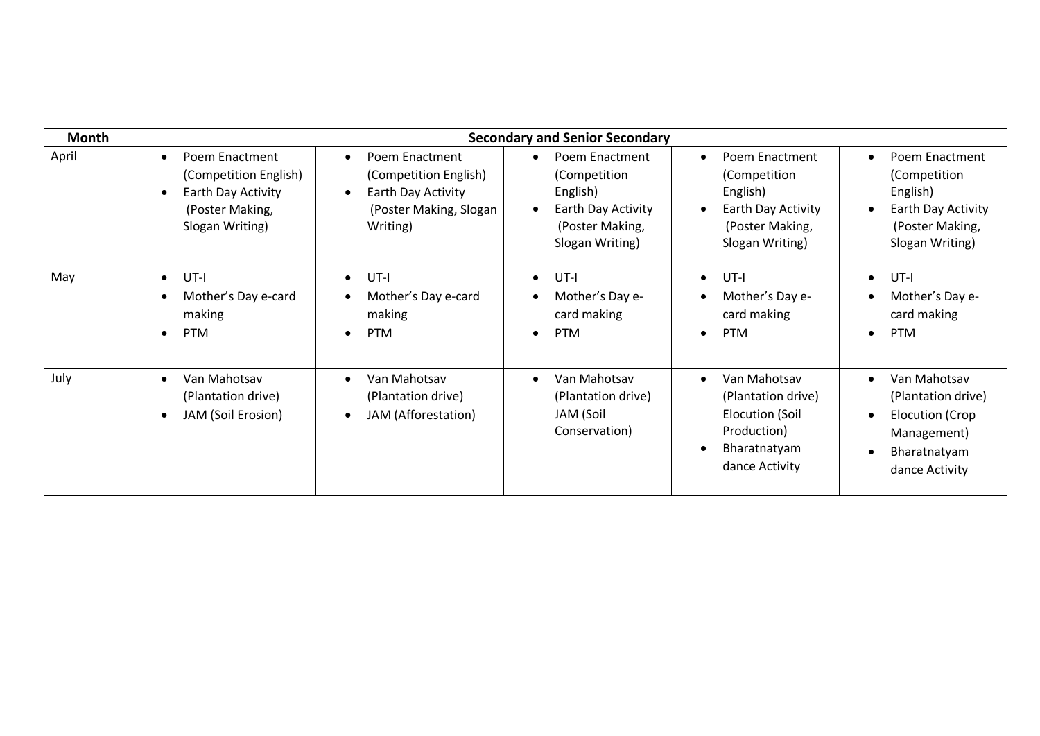| <b>Month</b> | <b>Secondary and Senior Secondary</b>                                                                                         |                                                                                                                               |                                                                                                        |                                                                                                                            |                                                                                                                     |
|--------------|-------------------------------------------------------------------------------------------------------------------------------|-------------------------------------------------------------------------------------------------------------------------------|--------------------------------------------------------------------------------------------------------|----------------------------------------------------------------------------------------------------------------------------|---------------------------------------------------------------------------------------------------------------------|
| April        | Poem Enactment<br>$\bullet$<br>(Competition English)<br>Earth Day Activity<br>$\bullet$<br>(Poster Making,<br>Slogan Writing) | Poem Enactment<br>$\bullet$<br>(Competition English)<br>Earth Day Activity<br>$\bullet$<br>(Poster Making, Slogan<br>Writing) | Poem Enactment<br>(Competition<br>English)<br>Earth Day Activity<br>(Poster Making,<br>Slogan Writing) | Poem Enactment<br>$\bullet$<br>(Competition<br>English)<br>Earth Day Activity<br>(Poster Making,<br>Slogan Writing)        | Poem Enactment<br>$\bullet$<br>(Competition<br>English)<br>Earth Day Activity<br>(Poster Making,<br>Slogan Writing) |
| May          | UT-I<br>$\bullet$<br>Mother's Day e-card<br>making<br><b>PTM</b><br>$\bullet$                                                 | UT-I<br>$\bullet$<br>Mother's Day e-card<br>making<br><b>PTM</b><br>$\bullet$                                                 | UT-I<br>$\bullet$<br>Mother's Day e-<br>card making<br><b>PTM</b><br>$\bullet$                         | $UT-I$<br>$\bullet$<br>Mother's Day e-<br>card making<br><b>PTM</b><br>$\bullet$                                           | UT-I<br>$\bullet$<br>Mother's Day e-<br>card making<br><b>PTM</b><br>$\bullet$                                      |
| July         | Van Mahotsav<br>$\bullet$<br>(Plantation drive)<br>JAM (Soil Erosion)<br>$\bullet$                                            | Van Mahotsav<br>$\bullet$<br>(Plantation drive)<br>JAM (Afforestation)                                                        | Van Mahotsav<br>(Plantation drive)<br>JAM (Soil<br>Conservation)                                       | Van Mahotsav<br>$\bullet$<br>(Plantation drive)<br><b>Elocution (Soil</b><br>Production)<br>Bharatnatyam<br>dance Activity | Van Mahotsav<br>(Plantation drive)<br>Elocution (Crop<br>Management)<br>Bharatnatyam<br>dance Activity              |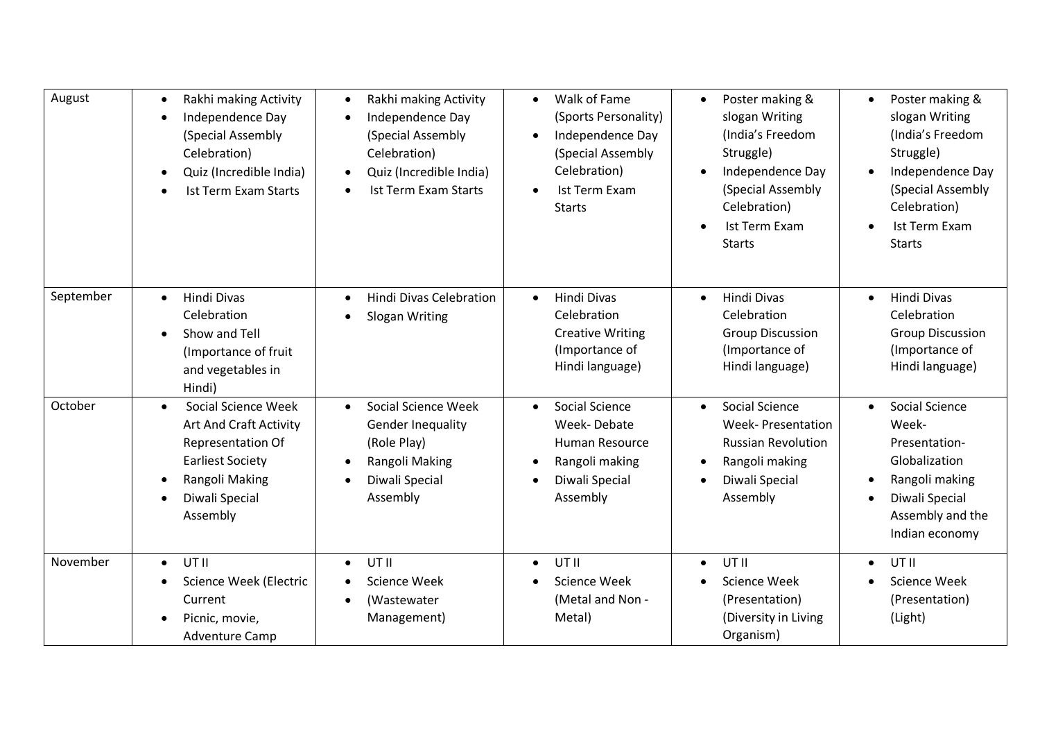| August    | Rakhi making Activity<br>$\bullet$<br>Independence Day<br>$\bullet$<br>(Special Assembly<br>Celebration)<br>Quiz (Incredible India)<br>$\bullet$<br><b>Ist Term Exam Starts</b>       | Rakhi making Activity<br>$\bullet$<br>Independence Day<br>$\bullet$<br>(Special Assembly<br>Celebration)<br>Quiz (Incredible India)<br>$\bullet$<br><b>Ist Term Exam Starts</b> | Walk of Fame<br>$\bullet$<br>(Sports Personality)<br>Independence Day<br>$\bullet$<br>(Special Assembly<br>Celebration)<br>Ist Term Exam<br><b>Starts</b> | Poster making &<br>$\bullet$<br>slogan Writing<br>(India's Freedom<br>Struggle)<br>Independence Day<br>(Special Assembly<br>Celebration)<br><b>Ist Term Exam</b><br>$\bullet$<br><b>Starts</b> | Poster making &<br>$\bullet$<br>slogan Writing<br>(India's Freedom<br>Struggle)<br>Independence Day<br>$\bullet$<br>(Special Assembly<br>Celebration)<br>Ist Term Exam<br>$\bullet$<br><b>Starts</b> |
|-----------|---------------------------------------------------------------------------------------------------------------------------------------------------------------------------------------|---------------------------------------------------------------------------------------------------------------------------------------------------------------------------------|-----------------------------------------------------------------------------------------------------------------------------------------------------------|------------------------------------------------------------------------------------------------------------------------------------------------------------------------------------------------|------------------------------------------------------------------------------------------------------------------------------------------------------------------------------------------------------|
| September | Hindi Divas<br>$\bullet$<br>Celebration<br>Show and Tell<br>(Importance of fruit<br>and vegetables in<br>Hindi)                                                                       | <b>Hindi Divas Celebration</b><br>$\bullet$<br>Slogan Writing<br>$\bullet$                                                                                                      | Hindi Divas<br>Celebration<br><b>Creative Writing</b><br>(Importance of<br>Hindi language)                                                                | <b>Hindi Divas</b><br>$\bullet$<br>Celebration<br><b>Group Discussion</b><br>(Importance of<br>Hindi language)                                                                                 | <b>Hindi Divas</b><br>$\bullet$<br>Celebration<br><b>Group Discussion</b><br>(Importance of<br>Hindi language)                                                                                       |
| October   | Social Science Week<br>$\bullet$<br><b>Art And Craft Activity</b><br><b>Representation Of</b><br><b>Earliest Society</b><br>Rangoli Making<br>$\bullet$<br>Diwali Special<br>Assembly | Social Science Week<br>$\bullet$<br><b>Gender Inequality</b><br>(Role Play)<br>Rangoli Making<br>$\bullet$<br>Diwali Special<br>$\bullet$<br>Assembly                           | Social Science<br>$\bullet$<br>Week-Debate<br>Human Resource<br>Rangoli making<br>Diwali Special<br>Assembly                                              | Social Science<br>$\bullet$<br><b>Week-Presentation</b><br><b>Russian Revolution</b><br>Rangoli making<br>Diwali Special<br>Assembly                                                           | Social Science<br>$\bullet$<br>Week-<br>Presentation-<br>Globalization<br>Rangoli making<br>Diwali Special<br>$\bullet$<br>Assembly and the<br>Indian economy                                        |
| November  | UT II<br>$\bullet$<br>Science Week (Electric<br>$\bullet$<br>Current<br>Picnic, movie,<br><b>Adventure Camp</b>                                                                       | UT II<br>$\bullet$<br>Science Week<br>(Wastewater<br>$\bullet$<br>Management)                                                                                                   | UT II<br>$\bullet$<br>Science Week<br>(Metal and Non -<br>Metal)                                                                                          | UT II<br>$\bullet$<br>Science Week<br>(Presentation)<br>(Diversity in Living<br>Organism)                                                                                                      | UT II<br>$\bullet$<br>Science Week<br>(Presentation)<br>(Light)                                                                                                                                      |